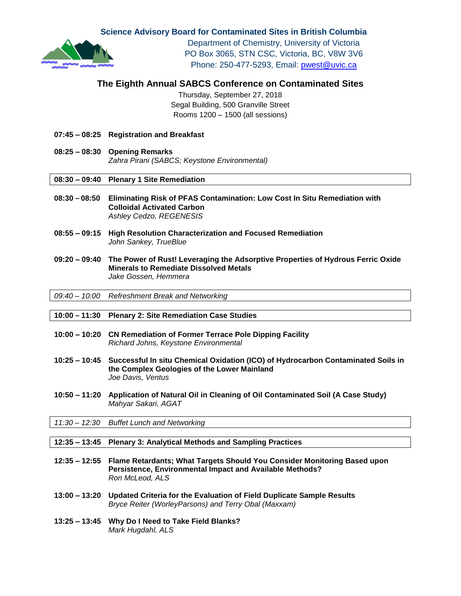**Science Advisory Board for Contaminated Sites in British Columbia**



Department of Chemistry, University of Victoria PO Box 3065, STN CSC, Victoria, BC, V8W 3V6 Phone: 250-477-5293, Email: [pwest@uvic.ca](mailto:pwest@uvic.ca)

# **The Eighth Annual SABCS Conference on Contaminated Sites**

Thursday, September 27, 2018 Segal Building, 500 Granville Street Rooms 1200 – 1500 (all sessions)

- **07:45 – 08:25 Registration and Breakfast**
- **08:25 – 08:30 Opening Remarks** *Zahra Pirani (SABCS; Keystone Environmental)*

#### **08:30 – 09:40 Plenary 1 Site Remediation**

- **08:30 – 08:50 Eliminating Risk of PFAS Contamination: Low Cost In Situ Remediation with Colloidal Activated Carbon** *Ashley Cedzo, REGENESIS*
- **08:55 – 09:15 High Resolution Characterization and Focused Remediation** *John Sankey, TrueBlue*
- **09:20 – 09:40 The Power of Rust! Leveraging the Adsorptive Properties of Hydrous Ferric Oxide Minerals to Remediate Dissolved Metals** *Jake Gossen, Hemmera*

*09:40 – 10:00 Refreshment Break and Networking*

#### **10:00 – 11:30 Plenary 2: Site Remediation Case Studies**

- **10:00 – 10:20 CN Remediation of Former Terrace Pole Dipping Facility** *Richard Johns, Keystone Environmental*
- **10:25 – 10:45 Successful In situ Chemical Oxidation (ICO) of Hydrocarbon Contaminated Soils in the Complex Geologies of the Lower Mainland** *Joe Davis, Ventus*
- **10:50 – 11:20 Application of Natural Oil in Cleaning of Oil Contaminated Soil (A Case Study)** *Mahyar Sakari, AGAT*

*11:30 – 12:30 Buffet Lunch and Networking*

#### **12:35 – 13:45 Plenary 3: Analytical Methods and Sampling Practices**

- **12:35 – 12:55 Flame Retardants; What Targets Should You Consider Monitoring Based upon Persistence, Environmental Impact and Available Methods?** *Ron McLeod, ALS*
- **13:00 – 13:20 Updated Criteria for the Evaluation of Field Duplicate Sample Results** *Bryce Reiter (WorleyParsons) and Terry Obal (Maxxam)*
- **13:25 – 13:45 Why Do I Need to Take Field Blanks?**  *Mark Hugdahl, ALS*